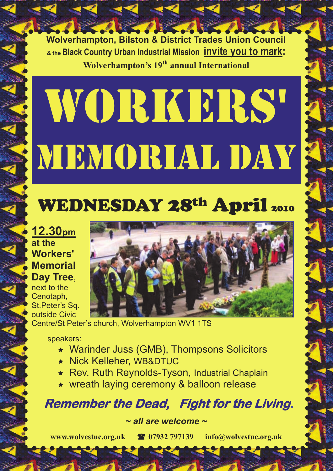**Wolverhampton, Bilston & District Trades Union Council & the Black Country Urban Industrial Mission invite you to mark: Wolverhampton's 19th annual International**

# Workers' MEMORIAL DAY

## WEDNESDAY 28<sup>th</sup> April 2010

**12.30pm at the Workers' Memorial Day Tree**, next to the

Cenotaph, St.Peter's Sq. outside Civic



Centre/St Peter's church, Wolverhampton WV1 1TS

speakers:

- Warinder Juss (GMB), Thompsons Solicitors
- Nick Kelleher, WB&DTUC
- Rev. Ruth Reynolds-Tyson, Industrial Chaplain
- wreath laying ceremony & balloon release

 **Remember the Dead, Fight for the Living.** 

*~ all are welcome ~*

**[www.wolvestuc.org.uk](http://www.wolvestuc.org.uk/)  07932 797139 [info@wolvestuc.org.uk](mailto:info@wolvestuc.org.uk)**